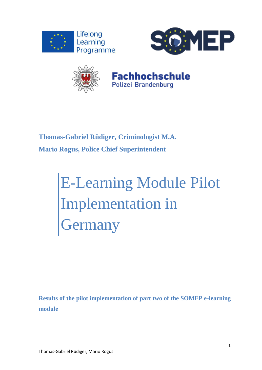





# **Fachhochschule** Polizei Brandenburg

**Thomas-Gabriel Rüdiger, Criminologist M.A. Mario Rogus, Police Chief Superintendent**

# E-Learning Module Pilot Implementation in **Germany**

**Results of the pilot implementation of part two of the SOMEP e-learning module**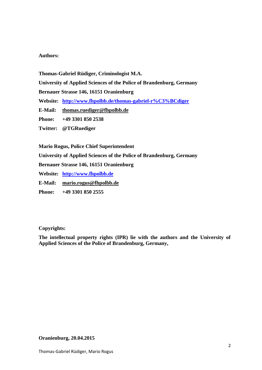#### **Authors:**

**Thomas-Gabriel Rüdiger, Criminologist M.A.**

**University of Applied Sciences of the Police of Brandenburg, Germany**

**Bernauer Strasse 146, 16151 Oranienburg**

- **Website: <http://www.fhpolbb.de/thomas-gabriel-r%C3%BCdiger>**
- **E-Mail: [thomas.ruediger@fhpolbb.de](mailto:thomas.ruediger@fhpolbb.de)**
- **Phone: +49 3301 850 2538**
- **Twitter: @TGRuediger**

**Mario Rogus, Police Chief Superintendent**

**University of Applied Sciences of the Police of Brandenburg, Germany**

**Bernauer Strasse 146, 16151 Oranienburg**

**Website: [http://www.fhpolbb.de](http://www.fhpolbb.de/)**

**E-Mail: [mario.rogus@fhpolbb.de](mailto:mario.rogus@fhpolbb.de)**

**Phone: +49 3301 850 2555**

#### **Copyrights:**

**The intellectual property rights (IPR) lie with the authors and the University of Applied Sciences of the Police of Brandenburg, Germany,**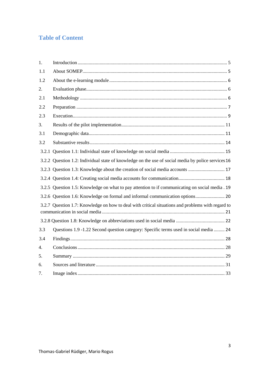# **Table of Content**

| 1.               |                                                                                                    |  |  |  |
|------------------|----------------------------------------------------------------------------------------------------|--|--|--|
| 1.1              |                                                                                                    |  |  |  |
| 1.2              |                                                                                                    |  |  |  |
| 2.               |                                                                                                    |  |  |  |
| 2.1              |                                                                                                    |  |  |  |
| 2.2              |                                                                                                    |  |  |  |
| 2.3              |                                                                                                    |  |  |  |
| 3.               |                                                                                                    |  |  |  |
| 3.1              |                                                                                                    |  |  |  |
| 3.2              |                                                                                                    |  |  |  |
|                  |                                                                                                    |  |  |  |
|                  | 3.2.2 Question 1.2: Individual state of knowledge on the use of social media by police services 16 |  |  |  |
|                  | 3.2.3 Question 1.3: Knowledge about the creation of social media accounts  17                      |  |  |  |
|                  |                                                                                                    |  |  |  |
|                  | 3.2.5 Question 1.5: Knowledge on what to pay attention to if communicating on social media . 19    |  |  |  |
|                  | 3.2.6 Question 1.6: Knowledge on formal and informal communication options 20                      |  |  |  |
|                  | 3.2.7 Question 1.7: Knowledge on how to deal with critical situations and problems with regard to  |  |  |  |
|                  |                                                                                                    |  |  |  |
| 3.3              | Questions 1.9 -1.22 Second question category: Specific terms used in social media  24              |  |  |  |
| 3.4              |                                                                                                    |  |  |  |
| $\overline{4}$ . |                                                                                                    |  |  |  |
| 5.               |                                                                                                    |  |  |  |
| 6.               |                                                                                                    |  |  |  |
| 7.               |                                                                                                    |  |  |  |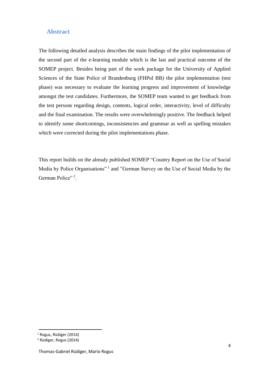## **Abstract**

The following detailed analysis describes the main findings of the pilot implementation of the second part of the e-learning module which is the last and practical outcome of the SOMEP project. Besides being part of the work package for the University of Applied Sciences of the State Police of Brandenburg (FHPol BB) the pilot implementation (test phase) was necessary to evaluate the learning progress and improvement of knowledge amongst the test candidates. Furthermore, the SOMEP team wanted to get feedback from the test persons regarding design, contents, logical order, interactivity, level of difficulty and the final examination. The results were overwhelmingly positive. The feedback helped to identify some shortcomings, inconsistencies and grammar as well as spelling mistakes which were corrected during the pilot implementations phase.

This report builds on the already published SOMEP "Country Report on the Use of Social Media by Police Organisations"<sup>1</sup> and "German Survey on the Use of Social Media by the German Police"<sup>2</sup>.

 $\overline{a}$ 

<sup>1</sup> Rogus, Rüdiger (2014)

<sup>2</sup> Rüdiger, Rogus (2014)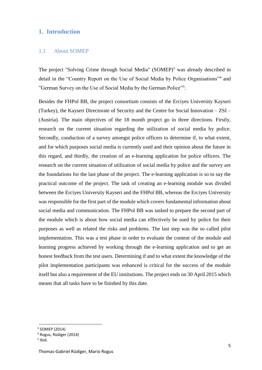# <span id="page-4-0"></span>**1. Introduction**

#### <span id="page-4-1"></span>1.1 About SOMEP

The project "Solving Crime through Social Media" (SOMEP)<sup>3</sup> was already described in detail in the "Country Report on the Use of Social Media by Police Organisations"<sup>4</sup> and "German Survey on the Use of Social Media by the German Police"<sup>5</sup> .

Besides the FHPol BB, the project consortium consists of the Erciyes University Kayseri (Turkey), the Kayseri Directorate of Security and the Centre for Social Innovation – ZSI – (Austria). The main objectives of the 18 month project go in three directions. Firstly, research on the current situation regarding the utilization of social media by police. Secondly, conduction of a survey amongst police officers to determine if, to what extent, and for which purposes social media is currently used and their opinion about the future in this regard, and thirdly, the creation of an e-learning application for police officers. The research on the current situation of utilization of social media by police and the survey are the foundations for the last phase of the project. The e-learning application is so to say the practical outcome of the project. The task of creating an e-learning module was divided between the Erciyes University Kayseri and the FHPol BB, whereas the Erciyes University was responsible for the first part of the module which covers fundamental information about social media and communication. The FHPol BB was tasked to prepare the second part of the module which is about how social media can effectively be used by police for their purposes as well as related the risks and problems. The last step was the so called pilot implementation. This was a test phase in order to evaluate the content of the module and learning progress achieved by working through the e-learning application and to get an honest feedback from the test users. Determining if and to what extent the knowledge of the pilot implementation participants was enhanced is critical for the success of the module itself but also a requirement of the EU institutions. The project ends on 30 April 2015 which means that all tasks have to be finished by this date.

<sup>3</sup> SOMEP (2014)

<sup>4</sup> Rogus, Rüdiger (2014)

<sup>5</sup> Ibid.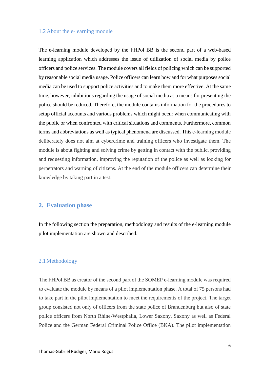#### <span id="page-5-0"></span>1.2 About the e-learning module

The e-learning module developed by the FHPol BB is the second part of a web-based learning application which addresses the issue of utilization of social media by police officers and police services. The module covers all fields of policing which can be supported by reasonable social media usage. Police officers can learn how and for what purposes social media can be used to support police activities and to make them more effective. At the same time, however, inhibitions regarding the usage of social media as a means for presenting the police should be reduced. Therefore, the module contains information for the procedures to setup official accounts and various problems which might occur when communicating with the public or when confronted with critical situations and comments. Furthermore, common terms and abbreviations as well as typical phenomena are discussed. This e-learning module deliberately does not aim at cybercrime and training officers who investigate them. The module is about fighting and solving crime by getting in contact with the public, providing and requesting information, improving the reputation of the police as well as looking for perpetrators and warning of citizens. At the end of the module officers can determine their knowledge by taking part in a test.

#### <span id="page-5-1"></span>**2. Evaluation phase**

In the following section the preparation, methodology and results of the e-learning module pilot implementation are shown and described.

#### <span id="page-5-2"></span>2.1Methodology

The FHPol BB as creator of the second part of the SOMEP e-learning module was required to evaluate the module by means of a pilot implementation phase. A total of 75 persons had to take part in the pilot implementation to meet the requirements of the project. The target group consisted not only of officers from the state police of Brandenburg but also of state police officers from North Rhine-Westphalia, Lower Saxony, Saxony as well as Federal Police and the German Federal Criminal Police Office (BKA). The pilot implementation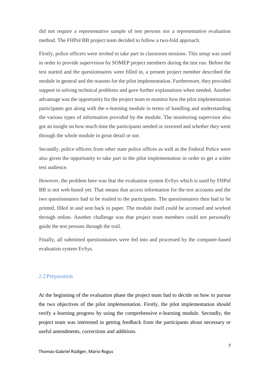did not require a representative sample of test persons nor a representative evaluation method. The FHPol BB project team decided to follow a two-fold approach.

Firstly, police officers were invited to take part in classroom sessions. This setup was used in order to provide supervision by SOMEP project members during the test run. Before the test started and the questionnaires were filled in, a present project member described the module in general and the reasons for the pilot implementation. Furthermore, they provided support in solving technical problems and gave further explanations when needed. Another advantage was the opportunity for the project team to monitor how the pilot implementation participants got along with the e-learning module in terms of handling and understanding the various types of information provided by the module. The monitoring supervisor also got an insight on how much time the participants needed or invested and whether they went through the whole module in great detail or not.

Secondly, police officers from other state police offices as well as the Federal Police were also given the opportunity to take part in the pilot implementation in order to get a wider test audience.

However, the problem here was that the evaluation system EvSys which is used by FHPol BB is not web-based yet. That means that access information for the test accounts and the two questionnaires had to be mailed to the participants. The questionnaires then had to be printed, filled in and sent back in paper. The module itself could be accessed and worked through online. Another challenge was that project team members could not personally guide the test persons through the trail.

Finally, all submitted questionnaires were fed into and processed by the computer-based evaluation system EvSys.

#### <span id="page-6-0"></span>2.2Preparation

At the beginning of the evaluation phase the project team had to decide on how to pursue the two objectives of the pilot implementation. Firstly, the pilot implementation should verify a learning progress by using the comprehensive e-learning module. Secondly, the project team was interested in getting feedback from the participants about necessary or useful amendments, corrections and additions.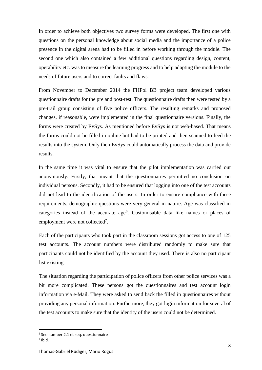In order to achieve both objectives two survey forms were developed. The first one with questions on the personal knowledge about social media and the importance of a police presence in the digital arena had to be filled in before working through the module. The second one which also contained a few additional questions regarding design, content, operability etc. was to measure the learning progress and to help adapting the module to the needs of future users and to correct faults and flaws.

From November to December 2014 the FHPol BB project team developed various questionnaire drafts for the pre and post-test. The questionnaire drafts then were tested by a pre-trail group consisting of five police officers. The resulting remarks and proposed changes, if reasonable, were implemented in the final questionnaire versions. Finally, the forms were created by EvSys. As mentioned before EvSys is not web-based. That means the forms could not be filled in online but had to be printed and then scanned to feed the results into the system. Only then EvSys could automatically process the data and provide results.

In the same time it was vital to ensure that the pilot implementation was carried out anonymously. Firstly, that meant that the questionnaires permitted no conclusion on individual persons. Secondly, it had to be ensured that logging into one of the test accounts did not lead to the identification of the users. In order to ensure compliance with these requirements, demographic questions were very general in nature. Age was classified in categories instead of the accurate age<sup>6</sup>. Customisable data like names or places of employment were not collected<sup>7</sup>.

Each of the participants who took part in the classroom sessions got access to one of 125 test accounts. The account numbers were distributed randomly to make sure that participants could not be identified by the account they used. There is also no participant list existing.

The situation regarding the participation of police officers from other police services was a bit more complicated. These persons got the questionnaires and test account login information via e-Mail. They were asked to send back the filled in questionnaires without providing any personal information. Furthermore, they got login information for several of the test accounts to make sure that the identity of the users could not be determined.

 $\overline{a}$ 

<sup>6</sup> See number 2.1 et seq. questionnaire

 $<sup>7</sup>$  Ibid.</sup>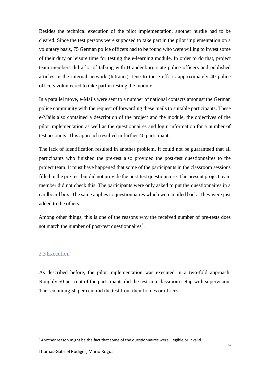Besides the technical execution of the pilot implementation, another hurdle had to be cleared. Since the test persons were supposed to take part in the pilot implementation on a voluntary basis, 75 German police officers had to be found who were willing to invest some of their duty or leisure time for testing the e-learning module. In order to do that, project team members did a lot of talking with Brandenburg state police officers and published articles in the internal network (Intranet). Due to these efforts approximately 40 police officers volunteered to take part in testing the module.

In a parallel move, e-Mails were sent to a number of national contacts amongst the German police community with the request of forwarding these mails to suitable participants. These e-Mails also contained a description of the project and the module, the objectives of the pilot implementation as well as the questionnaires and login information for a number of test accounts. This approach resulted in further 40 participants.

The lack of identification resulted in another problem. It could not be guaranteed that all participants who finished the pre-test also provided the post-test questionnaires to the project team. It must have happened that some of the participants in the classroom sessions filled in the pre-test but did not provide the post-test questionnaire. The present project team member did not check this. The participants were only asked to put the questionnaires in a cardboard box. The same applies to questionnaires which were mailed back. They were just added to the others.

Among other things, this is one of the reasons why the received number of pre-tests does not match the number of post-test questionnaires $8$ .

## <span id="page-8-0"></span>2.3Execution

 $\overline{\phantom{a}}$ 

As described before, the pilot implementation was executed in a two-fold approach. Roughly 50 per cent of the participants did the test in a classroom setup with supervision. The remaining 50 per cent did the test from their homes or offices.

<sup>&</sup>lt;sup>8</sup> Another reason might be the fact that some of the questionnaires were illegible or invalid.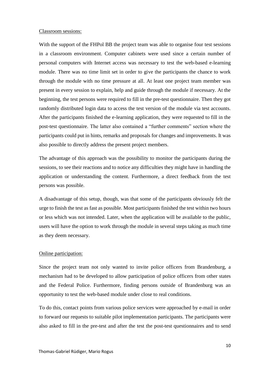#### Classroom sessions:

With the support of the FHPol BB the project team was able to organise four test sessions in a classroom environment. Computer cabinets were used since a certain number of personal computers with Internet access was necessary to test the web-based e-learning module. There was no time limit set in order to give the participants the chance to work through the module with no time pressure at all. At least one project team member was present in every session to explain, help and guide through the module if necessary. At the beginning, the test persons were required to fill in the pre-test questionnaire. Then they got randomly distributed login data to access the test version of the module via test accounts. After the participants finished the e-learning application, they were requested to fill in the post-test questionnaire. The latter also contained a "further comments" section where the participants could put in hints, remarks and proposals for changes and improvements. It was also possible to directly address the present project members.

The advantage of this approach was the possibility to monitor the participants during the sessions, to see their reactions and to notice any difficulties they might have in handling the application or understanding the content. Furthermore, a direct feedback from the test persons was possible.

A disadvantage of this setup, though, was that some of the participants obviously felt the urge to finish the test as fast as possible. Most participants finished the test within two hours or less which was not intended. Later, when the application will be available to the public, users will have the option to work through the module in several steps taking as much time as they deem necessary.

#### Online participation:

Since the project team not only wanted to invite police officers from Brandenburg, a mechanism had to be developed to allow participation of police officers from other states and the Federal Police. Furthermore, finding persons outside of Brandenburg was an opportunity to test the web-based module under close to real conditions.

To do this, contact points from various police services were approached by e-mail in order to forward our requests to suitable pilot implementation participants. The participants were also asked to fill in the pre-test and after the test the post-test questionnaires and to send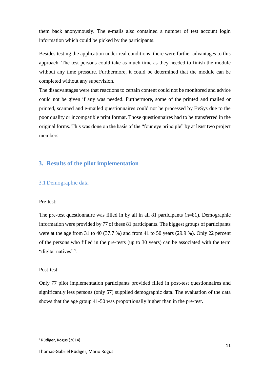them back anonymously. The e-mails also contained a number of test account login information which could be picked by the participants.

Besides testing the application under real conditions, there were further advantages to this approach. The test persons could take as much time as they needed to finish the module without any time pressure. Furthermore, it could be determined that the module can be completed without any supervision.

The disadvantages were that reactions to certain content could not be monitored and advice could not be given if any was needed. Furthermore, some of the printed and mailed or printed, scanned and e-mailed questionnaires could not be processed by EvSys due to the poor quality or incompatible print format. Those questionnaires had to be transferred in the original forms. This was done on the basis of the "four eye principle" by at least two project members.

# <span id="page-10-0"></span>**3. Results of the pilot implementation**

# <span id="page-10-1"></span>3.1Demographic data

#### Pre-test:

The pre-test questionnaire was filled in by all in all 81 participants (n=81). Demographic information were provided by 77 of these 81 participants. The biggest groups of participants were at the age from 31 to 40 (37.7 %) and from 41 to 50 years (29.9 %). Only 22 percent of the persons who filled in the pre-tests (up to 30 years) can be associated with the term "digital natives"<sup>9</sup>.

#### Post-test:

Only 77 pilot implementation participants provided filled in post-test questionnaires and significantly less persons (only 57) supplied demographic data. The evaluation of the data shows that the age group 41-50 was proportionally higher than in the pre-test.

<sup>9</sup> Rüdiger, Rogus (2014)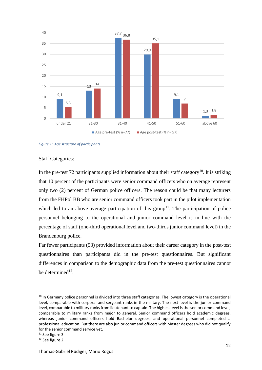

<span id="page-11-0"></span>*Figure 1: Age structure of participants*

#### Staff Categories:

In the pre-test 72 participants supplied information about their staff category<sup>10</sup>. It is striking that 10 percent of the participants were senior command officers who on average represent only two (2) percent of German police officers. The reason could be that many lecturers from the FHPol BB who are senior command officers took part in the pilot implementation which led to an above-average participation of this group<sup>11</sup>. The participation of police personnel belonging to the operational and junior command level is in line with the percentage of staff (one-third operational level and two-thirds junior command level) in the Brandenburg police.

Far fewer participants (53) provided information about their career category in the post-test questionnaires than participants did in the pre-test questionnaires. But significant differences in comparison to the demographic data from the pre-test questionnaires cannot be determined $12$ .

 $\overline{a}$ 

<sup>&</sup>lt;sup>10</sup> In Germany police personnel is divided into three staff categories. The lowest category is the operational level, comparable with corporal and sergeant ranks in the military. The next level is the junior command level, comparable to military ranks from lieutenant to captain. The highest level is the senior command level, comparable to military ranks from major to general. Senior command officers hold academic degrees, whereas junior command officers hold Bachelor degrees, and operational personnel completed a professional education. But there are also junior command officers with Master degrees who did not qualify for the senior command service yet.

 $11$  See figure 3

<sup>12</sup> See figure 2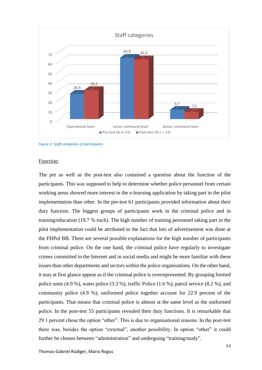

<span id="page-12-0"></span>*Figure 2: Staff categories of participants*

#### Function:

The pre as well as the post-test also contained a question about the function of the participants. This was supposed to help to determine whether police personnel from certain working areas showed more interest in the e-learning application by taking part in the pilot implementation than other. In the pre-test 61 participants provided information about their duty function. The biggest groups of participants work in the criminal police and in training/education (19.7 % each). The high number of training personnel taking part in the pilot implementation could be attributed to the fact that lots of advertisement was done at the FHPol BB. There are several possible explanations for the high number of participants from criminal police. On the one hand, the criminal police have regularly to investigate crimes committed in the Internet and in social media and might be more familiar with these issues than other departments and sectors within the police organisations. On the other hand, it may at first glance appear as if the criminal police is overrepresented. By grouping formed police units (4.9 %), water police (3.3 %), traffic Police (1.6 %), patrol service (8.2 %), and community police (4.9 %), uniformed police together account for 22.9 percent of the participants. That means that criminal police is almost at the same level as the uniformed police. In the post-test 55 participants revealed their duty functions. It is remarkable that 29.1 percent chose the option "other". This is due to organisational reasons. In the post-test there was, besides the option "external", another possibility. In option "other" it could further be chosen between "administration" and undergoing "training/study".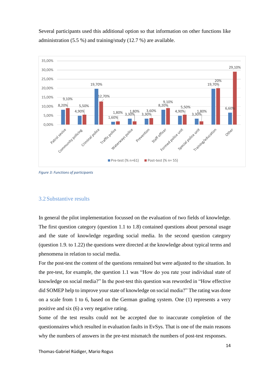Several participants used this additional option so that information on other functions like administration (5.5 %) and training/study (12.7 %) are available.



<span id="page-13-1"></span>*Figure 3: Functions of participants*

## <span id="page-13-0"></span>3.2Substantive results

In general the pilot implementation focussed on the evaluation of two fields of knowledge. The first question category (question 1.1 to 1.8) contained questions about personal usage and the state of knowledge regarding social media. In the second question category (question 1.9. to 1.22) the questions were directed at the knowledge about typical terms and phenomena in relation to social media.

For the post-test the content of the questions remained but were adjusted to the situation. In the pre-test, for example, the question 1.1 was "How do you rate your individual state of knowledge on social media?" In the post-test this question was reworded in "How effective did SOMEP help to improve your state of knowledge on social media?" The rating was done on a scale from 1 to 6, based on the German grading system. One (1) represents a very positive and six (6) a very negative rating.

Some of the test results could not be accepted due to inaccurate completion of the questionnaires which resulted in evaluation faults in EvSys. That is one of the main reasons why the numbers of answers in the pre-test mismatch the numbers of post-test responses.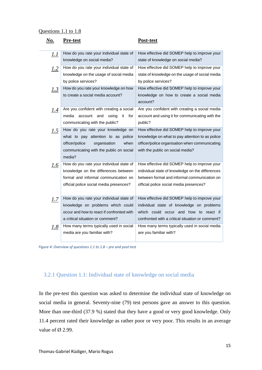#### Questions 1.1 to 1.8

| No.         | <u>Pre-test</u>                                                         | Post-test                                                               |
|-------------|-------------------------------------------------------------------------|-------------------------------------------------------------------------|
| <u> 1.1</u> | How do you rate your individual state of                                | How effective did SOMEP help to improve your                            |
|             | knowledge on social media?                                              | state of knowledge on social media?                                     |
| 1.2         | How do you rate your individual state of                                | How effective did SOMEP help to improve your                            |
|             | knowledge on the usage of social media                                  | state of knowledge on the usage of social media                         |
|             | by police services?                                                     | by police services?                                                     |
| 1.3         | How do you rate your knowledge on how                                   | How effective did SOMEP help to improve your                            |
|             | to create a social media account?                                       | knowledge on how to create a social media                               |
|             |                                                                         | account?                                                                |
| 1.4         | Are you confident with creating a social                                | Are you confident with creating a social media                          |
|             | media<br>account and<br>it<br>for<br>using                              | account and using it for communicating with the                         |
|             | communicating with the public?                                          | public?                                                                 |
| 1.5         | How do you rate your knowledge on                                       | How effective did SOMEP help to improve your                            |
|             | what to pay attention to as police                                      | knowledge on what to pay attention to as police                         |
|             | officer/police<br>organisation<br>when                                  | officer/police organisation when communicating                          |
|             | communicating with the public on social                                 | with the public on social media?                                        |
|             | media?                                                                  |                                                                         |
| L.6         | How do you rate your individual state of                                | How effective did SOMEP help to improve your                            |
|             | knowledge on the differences between                                    | individual state of knowledge on the differences                        |
|             | formal and informal communication on                                    | between formal and informal communication on                            |
|             | official police social media presences?                                 | official police social media presences?                                 |
|             |                                                                         |                                                                         |
| <u>I.Z</u>  | How do you rate your individual state of                                | How effective did SOMEP help to improve your                            |
|             | knowledge on problems which could                                       | individual state of knowledge on problems                               |
|             | occur and how to react if confronted with                               | which could occur and how to react if                                   |
|             | a critical situation or comment?                                        | confronted with a critical situation or comment?                        |
| 1.8         | How many terms typically used in social<br>media are you familiar with? | How many terms typically used in social media<br>are you familiar with? |
|             |                                                                         |                                                                         |

<span id="page-14-1"></span>*Figure 4: Overview of questions 1.1 to 1.8 – pre and post-test*

# <span id="page-14-0"></span>3.2.1 Question 1.1: Individual state of knowledge on social media

In the pre-test this question was asked to determine the individual state of knowledge on social media in general. Seventy-nine (79) test persons gave an answer to this question. More than one-third (37.9 %) stated that they have a good or very good knowledge. Only 11.4 percent rated their knowledge as rather poor or very poor. This results in an average value of  $\varnothing$  2.99.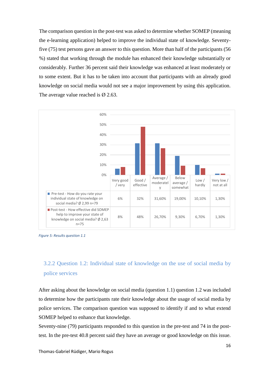The comparison question in the post-test was asked to determine whether SOMEP (meaning the e-learning application) helped to improve the individual state of knowledge. Seventyfive (75) test persons gave an answer to this question. More than half of the participants (56 %) stated that working through the module has enhanced their knowledge substantially or considerably. Further 36 percent said their knowledge was enhanced at least moderately or to some extent. But it has to be taken into account that participants with an already good knowledge on social media would not see a major improvement by using this application. The average value reached is  $\varnothing$  2.63.



<span id="page-15-1"></span>*Figure 5: Results question 1.1*

# <span id="page-15-0"></span>3.2.2 Question 1.2: Individual state of knowledge on the use of social media by police services

After asking about the knowledge on social media (question 1.1) question 1.2 was included to determine how the participants rate their knowledge about the usage of social media by police services. The comparison question was supposed to identify if and to what extend SOMEP helped to enhance that knowledge.

Seventy-nine (79) participants responded to this question in the pre-test and 74 in the posttest. In the pre-test 40.8 percent said they have an average or good knowledge on this issue.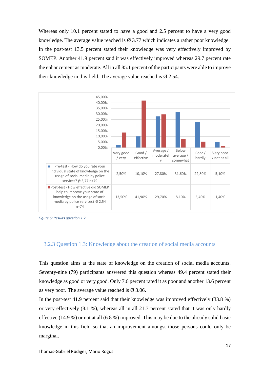Whereas only 10.1 percent stated to have a good and 2.5 percent to have a very good knowledge. The average value reached is  $\varnothing$  3.77 which indicates a rather poor knowledge. In the post-test 13.5 percent stated their knowledge was very effectively improved by SOMEP. Another 41.9 percent said it was effectively improved whereas 29.7 percent rate the enhancement as moderate. All in all 85.1 percent of the participants were able to improve their knowledge in this field. The average value reached is  $\varnothing$  2.54.



<span id="page-16-1"></span>*Figure 6: Results question 1.2*

#### <span id="page-16-0"></span>3.2.3 Question 1.3: Knowledge about the creation of social media accounts

This question aims at the state of knowledge on the creation of social media accounts. Seventy-nine (79) participants answered this question whereas 49.4 percent stated their knowledge as good or very good. Only 7.6 percent rated it as poor and another 13.6 percent as very poor. The average value reached is  $\varnothing$  3.06.

In the post-test 41.9 percent said that their knowledge was improved effectively (33.8 %) or very effectively (8.1 %), whereas all in all 21.7 percent stated that it was only hardly effective (14.9 %) or not at all (6.8 %) improved. This may be due to the already solid basic knowledge in this field so that an improvement amongst those persons could only be marginal.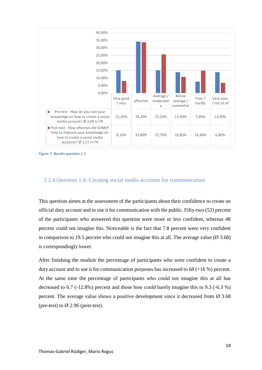

<span id="page-17-1"></span>*Figure 7: Results question 1.3*

## <span id="page-17-0"></span>3.2.4 Question 1.4: Creating social media accounts for communication

This question aimes at the assessment of the participants about their confidence to create an official duty account and to use it for communication with the public. Fifty-two (52) percent of the participants who answered this question were more or less confident, whereas 48 percent could not imagine this. Noticeable is the fact that 7.8 percent were very confident in comparison to 19.5 percent who could not imagine this at all. The average value ( $\varnothing$  3.68) is correspondingly lower.

After finishing the module the percentage of participants who were confident to create a duty account and to use it for communication purposes has increased to 68 (+16 %) percent. At the same time the percentage of participants who could not imagine this at all has decreased to 6.7 (-12.8%) percent and those how could barely imagine this to 9.3 (-6.3 %) percent. The average value shows a positive development since it decreased from  $\varnothing$  3.68 (pre-test) to  $\varnothing$  2.96 (post-test).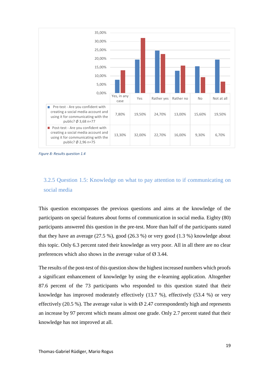

<span id="page-18-1"></span>*Figure 8: Results question 1.4*

# <span id="page-18-0"></span>3.2.5 Question 1.5: Knowledge on what to pay attention to if communicating on social media

This question encompasses the previous questions and aims at the knowledge of the participants on special features about forms of communication in social media. Eighty (80) participants answered this question in the pre-test. More than half of the participants stated that they have an average  $(27.5\%)$ , good  $(26.3\%)$  or very good  $(1.3\%)$  knowledge about this topic. Only 6.3 percent rated their knowledge as very poor. All in all there are no clear preferences which also shows in the average value of  $\varnothing$  3.44.

The results of the post-test of this question show the highest increased numbers which proofs a significant enhancement of knowledge by using the e-learning application. Altogether 87.6 percent of the 73 participants who responded to this question stated that their knowledge has improved moderately effectively (13.7 %), effectively (53.4 %) or very effectively (20.5 %). The average value is with  $\varnothing$  2.47 correspondently high and represents an increase by 97 percent which means almost one grade. Only 2.7 percent stated that their knowledge has not improved at all.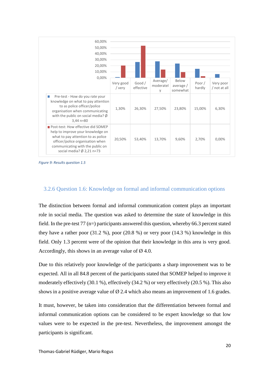

<span id="page-19-1"></span>*Figure 9: Results question 1.5*

## <span id="page-19-0"></span>3.2.6 Question 1.6: Knowledge on formal and informal communication options

The distinction between formal and informal communication content plays an important role in social media. The question was asked to determine the state of knowledge in this field. In the pre-test 77 (n=) participants answered this question, whereby 66.3 percent stated they have a rather poor (31.2 %), poor (20.8 %) or very poor (14.3 %) knowledge in this field. Only 1.3 percent were of the opinion that their knowledge in this area is very good. Accordingly, this shows in an average value of  $\varnothing$  4.0.

Due to this relatively poor knowledge of the participants a sharp improvement was to be expected. All in all 84.8 percent of the participants stated that SOMEP helped to improve it moderately effectively (30.1 %), effectively (34.2 %) or very effectively (20.5 %). This also shows in a positive average value of  $\varnothing$  2.4 which also means an improvement of 1.6 grades.

It must, however, be taken into consideration that the differentiation between formal and informal communication options can be considered to be expert knowledge so that low values were to be expected in the pre-test. Nevertheless, the improvement amongst the participants is significant.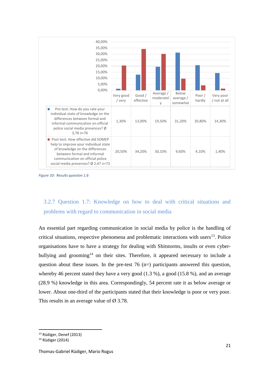

<span id="page-20-1"></span>*Figure 10: Results question 1.6*

# <span id="page-20-0"></span>3.2.7 Question 1.7: Knowledge on how to deal with critical situations and problems with regard to communication in social media

An essential part regarding communication in social media by police is the handling of critical situations, respective phenomena and problematic interactions with users $^{13}$ . Police organisations have to have a strategy for dealing with Shitstorms, insults or even cyberbullying and grooming<sup>14</sup> on their sites. Therefore, it appeared necessary to include a question about these issues. In the pre-test  $76$  (n=) participants answered this question, whereby 46 percent stated they have a very good (1.3 %), a good (15.8 %), and an average (28.9 %) knowledge in this area. Correspondingly, 54 percent rate it as below average or lower. About one-third of the participants stated that their knowledge is poor or very poor. This results in an average value of  $\varnothing$  3.78.

 $\overline{a}$ 

<sup>13</sup> Rüdiger, Denef (2013)

<sup>14</sup> Rüdiger (2014)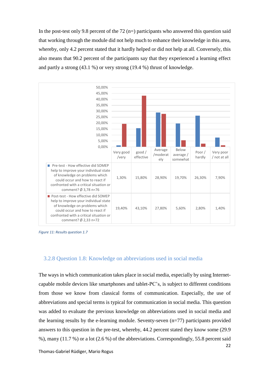In the post-test only 9.8 percent of the 72  $(n=)$  participants who answered this question said that working through the module did not help much to enhance their knowledge in this area, whereby, only 4.2 percent stated that it hardly helped or did not help at all. Conversely, this also means that 90.2 percent of the participants say that they experienced a learning effect and partly a strong (43.1 %) or very strong (19.4 %) thrust of knowledge.



<span id="page-21-1"></span>*Figure 11: Results question 1.7*

#### <span id="page-21-0"></span>3.2.8 Question 1.8: Knowledge on abbreviations used in social media

The ways in which communication takes place in social media, especially by using Internetcapable mobile devices like smartphones and tablet-PC's, is subject to different conditions from those we know from classical forms of communication. Especially, the use of abbreviations and special terms is typical for communication in social media. This question was added to evaluate the previous knowledge on abbreviations used in social media and the learning results by the e-learning module. Seventy-seven (n=77) participants provided answers to this question in the pre-test, whereby, 44.2 percent stated they know some (29.9 %), many (11.7 %) or a lot (2.6 %) of the abbreviations. Correspondingly, 55.8 percent said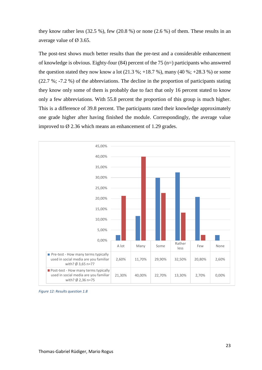they know rather less (32.5 %), few (20.8 %) or none (2.6 %) of them. These results in an average value of  $\varnothing$  3.65.

The post-test shows much better results than the pre-test and a considerable enhancement of knowledge is obvious. Eighty-four (84) percent of the 75 (n=) participants who answered the question stated they now know a lot  $(21.3 \text{ %}; +18.7 \text{ %})$ , many  $(40 \text{ %}; +28.3 \text{ %})$  or some (22.7 %; -7.2 %) of the abbreviations. The decline in the proportion of participants stating they know only some of them is probably due to fact that only 16 percent stated to know only a few abbreviations. With 55.8 percent the proportion of this group is much higher. This is a difference of 39.8 percent. The participants rated their knowledge approximately one grade higher after having finished the module. Correspondingly, the average value improved to  $\varnothing$  2.36 which means an enhancement of 1.29 grades.



<span id="page-22-0"></span>*Figure 12: Results question 1.8*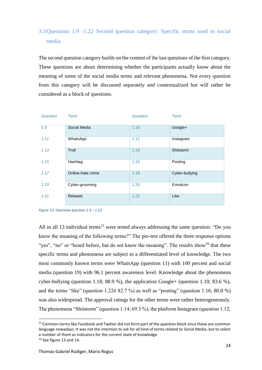# <span id="page-23-0"></span>3.3Questions 1.9 -1.22 Second question category: Specific terms used in social media

The second question category builds on the content of the last questions of the first category. These questions are about determining whether the participants actually know about the meaning of some of the social media terms and relevant phenomena. Not every question from this category will be discussed separately and contextualized but will rather be considered as a block of questions.

| Question | <b>Term</b>       | Question | <b>Term</b>      |
|----------|-------------------|----------|------------------|
| 1.9      | Social Media      | 1.10     | Google+          |
| 1.11     | WhatsApp          | 1.12     | Instagram        |
| 1.13     | Troll             | 1.14     | <b>Shitstorm</b> |
| 1.15     | Hashtag           | 1.16     | Posting          |
| 1.17     | Online-hate crime | 1.18     | Cyber-bullying   |
| 1.19     | Cyber-grooming    | 1.20     | Emoticon         |
| 1.21     | Retweet           | 1.22     | Like             |

*Figure 13: Overview question 1.9 – 1.22*

All in all 13 individual terms<sup>15</sup> were tested always addressing the same question: "Do you know the meaning of the following terms?" The pre-test offered the three response options "yes", "no" or "heard before, but do not know the meaning". The results show<sup>16</sup> that these specific terms and phenomena are subject to a differentiated level of knowledge. The two most commonly known terms were WhatsApp (question 11) with 100 percent and social media (question 19) with 96.1 percent awareness level. Knowledge about the phenomena cyber-bullying (question 1.18; 88.9 %), the application Google+ (question 1.10; 83.6 %), and the terms "like" (question 1.22ö 82.7 %) as well as "posting" (question 1.16; 80.8 %) was also widespread. The approval ratings for the other terms were rather heterogeneously. The phenomena "Shitstorm" (question 1.14; 69.3 %), the platform Instagram (question 1.12;

<sup>&</sup>lt;sup>15</sup> Common terms like Facebook and Twitter did not form part of the question block since these are common language nowadays. It was not the intention to ask for all kind of terms related to Social Media, but to select a number of them as indicators for the current state of knowledge.

<sup>&</sup>lt;sup>16</sup> See figure 13 and 14.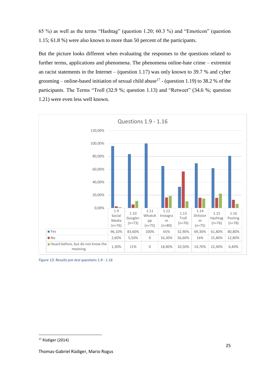65 %) as well as the terms "Hashtag" (question 1.20; 60.3 %) and "Emoticon" (question 1.15; 61.8 %) were also known to more than 50 percent of the participants.

But the picture looks different when evaluating the responses to the questions related to further terms, applications and phenomena. The phenomena online-hate crime – extremist an racist statements in the Internet – (question 1.17) was only known to 39.7 % and cyber grooming – online-based initiation of sexual child abuse<sup>17</sup> - (question 1.19) to 38.2 % of the participants. The Terms "Troll (32.9 %; question 1.13) and "Retweet" (34.6 %; question 1.21) were even less well known.



<span id="page-24-0"></span>*Figure 13: Results pre-test questions 1.9 - 1.16*

<sup>17</sup> Rüdiger (2014)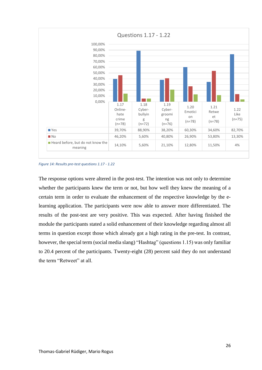

<span id="page-25-0"></span>*Figure 14: Results pre-test questions 1.17 - 1.22*

The response options were altered in the post-test. The intention was not only to determine whether the participants knew the term or not, but how well they knew the meaning of a certain term in order to evaluate the enhancement of the respective knowledge by the elearning application. The participants were now able to answer more differentiated. The results of the post-test are very positive. This was expected. After having finished the module the participants stated a solid enhancement of their knowledge regarding almost all terms in question except those which already got a high rating in the pre-test. In contrast, however, the special term (social media slang) "Hashtag" (questions 1.15) was only familiar to 20.4 percent of the participants. Twenty-eight (28) percent said they do not understand the term "Retweet" at all.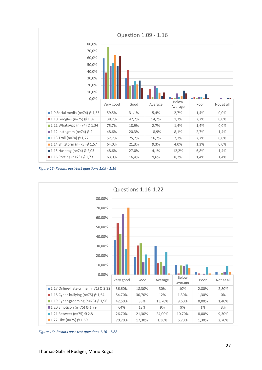

<span id="page-26-0"></span>*Figure 15: Results post-test questions 1.09 - 1.16*



<span id="page-26-1"></span>*Figure 16: Results post-test questions 1.16 - 1.22*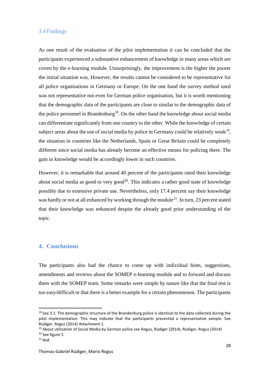#### <span id="page-27-0"></span>3.4Findings

As one result of the evaluation of the pilot implementation it can be concluded that the participants experienced a substantive enhancement of knowledge in many areas which are covert by the e-learning module. Unsurprisingly, the improvement is the higher the poorer the initial situation was. However, the results cannot be considered to be representative for all police organisations in Germany or Europe. On the one hand the survey method used was not representative not even for German police organisation, but it is worth mentioning that the demographic data of the participants are close to similar to the demographic data of the police personnel in Brandenburg<sup>18</sup>. On the other hand the knowledge about social media can differentiate significantly from one country to the other. While the knowledge of certain subject areas about the use of social media by police in Germany could be relatively weak<sup>19</sup>, the situation in countries like the Netherlands, Spain or Great Britain could be completely different since social media has already become an effective means for policing there. The gain in knowledge would be accordingly lower in such countries.

However, it is remarkable that around 40 percent of the participants rated their knowledge about social media as good or very  $\text{good}^{20}$ . This indicates a rather good state of knowledge possibly due to extensive private use. Nevertheless, only 17.4 percent say their knowledge was hardly or not at all enhanced by working through the module<sup>21</sup>. In turn, 23 percent stated that their knowledge was enhanced despite the already good prior understanding of the topic.

## <span id="page-27-1"></span>**4. Conclusions**

The participants also had the chance to come up with individual hints, suggestions, amendments and reviews about the SOMEP e-learning module and to forward and discuss them with the SOMEP team. Some remarks were simple by nature like that the final test is too easy/difficult or that there is a better example for a certain phenomenon. The participants

<sup>&</sup>lt;sup>18</sup> See 3.1: The demographic structure of the Brandenburg police is identical to the data collected during the pilot implementation. This may indicate that the participants presented a representative sample. See Rüdiger, Rogus (2014) Attachment 1.

<sup>&</sup>lt;sup>19</sup> About utilization of Social Media by German police see Rogus, Rüdiger (2014); Rüdiger, Rogus (2014)

<sup>20</sup> See figure 5

 $21$  Ibid.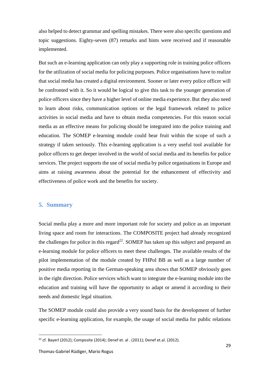also helped to detect grammar and spelling mistakes. There were also specific questions and topic suggestions. Eighty-seven (87) remarks and hints were received and if reasonable implemented.

But such an e-learning application can only play a supporting role in training police officers for the utilization of social media for policing purposes. Police organisations have to realize that social media has created a digital environment. Sooner or later every police officer will be confronted with it. So it would be logical to give this task to the younger generation of police officers since they have a higher level of online media experience. But they also need to learn about risks, communication options or the legal framework related to police activities in social media and have to obtain media competencies. For this reason social media as an effective means for policing should be integrated into the police training and education. The SOMEP e-learning module could bear fruit within the scope of such a strategy if taken seriously. This e-learning application is a very useful tool available for police officers to get deeper involved in the world of social media and its benefits for police services. The project supports the use of social media by police organisations in Europe and aims at raising awareness about the potential for the enhancement of effectivity and effectiveness of police work and the benefits for society.

## <span id="page-28-0"></span>**5. Summary**

Social media play a more and more important role for society and police as an important living space and room for interactions. The COMPOSITE project had already recognized the challenges for police in this regard<sup>22</sup>. SOMEP has taken up this subject and prepared an e-learning module for police officers to meet these challenges. The available results of the pilot implementation of the module created by FHPol BB as well as a large number of positive media reporting in the German-speaking area shows that SOMEP obviously goes in the right direction. Police services which want to integrate the e-learning module into the education and training will have the opportunity to adapt or amend it according to their needs and domestic legal situation.

The SOMEP module could also provide a very sound basis for the development of further specific e-learning application, for example, the usage of social media for public relations

<sup>&</sup>lt;sup>22</sup> cf. Bayerl (2012); Composite (2014); Denef et. al . (2011); Denef et. al. (2012).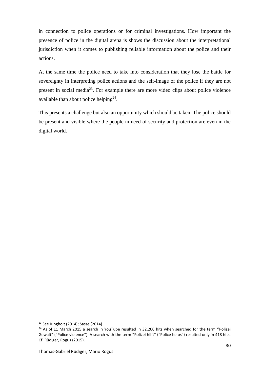in connection to police operations or for criminal investigations. How important the presence of police in the digital arena is shows the discussion about the interpretational jurisdiction when it comes to publishing reliable information about the police and their actions.

At the same time the police need to take into consideration that they lose the battle for sovereignty in interpreting police actions and the self-image of the police if they are not present in social media<sup>23</sup>. For example there are more video clips about police violence available than about police helping $2^4$ .

This presents a challenge but also an opportunity which should be taken. The police should be present and visible where the people in need of security and protection are even in the digital world.

<sup>23</sup> See Jungholt (2014); Sasse (2014)

<sup>&</sup>lt;sup>24</sup> As of 11 March 2015 a search in YouTube resulted in 32,200 hits when searched for the term "Polizei Gewalt" ("Police violence"). A search with the term "Polizei hilft" ("Police helps") resulted only in 418 hits. Cf. Rüdiger, Rogus (2015).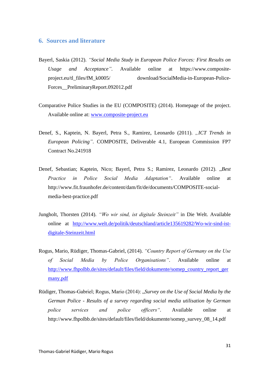#### <span id="page-30-0"></span>**6. Sources and literature**

- Bayerl, Saskia (2012). *"Social Media Study in European Police Forces: First Results on Usage and Acceptance".* Available online at https://www.compositeproject.eu/tl\_files/fM\_k0005/ download/SocialMedia-in-European-Police-Forces\_\_PreliminaryReport.092012.pdf
- Comparative Police Studies in the EU (COMPOSITE) (2014). Homepage of the project. Available online at: [www.composite-project.eu](file:///C:/Users/Ines/AppData/Local/Temp/www.composite-project.eu)
- Denef, S., Kaptein, N. Bayerl, Petra S., Ramirez, Leonardo (2011). "ICT Trends in *European Policing"*. COMPOSITE, Deliverable 4.1, European Commission FP7 Contract No.241918
- Denef, Sebastian; Kaptein, Nico; Bayerl, Petra S.; Ramirez, Leonardo (2012). "Best *Practice in Police Social Media Adaptation"*. Available online at [http://www.fit.fraunhofer.de/content/dam/fit/de/documents/COMPOSITE-social](http://www.fit.fraunhofer.de/content/dam/fit/de/documents/COMPOSITE-social-media-best-practice.pdf)[media-best-practice.pdf](http://www.fit.fraunhofer.de/content/dam/fit/de/documents/COMPOSITE-social-media-best-practice.pdf)
- Jungholt, Thorsten (2014). *"Wo wir sind, ist digitale Steinzeit"* in Die Welt. Available online at [http://www.welt.de/politik/deutschland/article135619282/Wo-wir-sind-ist](http://www.welt.de/politik/deutschland/article135619282/Wo-wir-sind-ist-digitale-Steinzeit.html)[digitale-Steinzeit.html](http://www.welt.de/politik/deutschland/article135619282/Wo-wir-sind-ist-digitale-Steinzeit.html)
- Rogus, Mario, Rüdiger, Thomas-Gabriel, (2014). *"Country Report of Germany on the Use of Social Media by Police Organisations"*. Available online at [http://www.fhpolbb.de/sites/default/files/field/dokumente/somep\\_country\\_report\\_ger](http://www.fhpolbb.de/sites/default/files/field/dokumente/somep_country_report_germany.pdf) [many.pdf](http://www.fhpolbb.de/sites/default/files/field/dokumente/somep_country_report_germany.pdf)
- Rüdiger, Thomas-Gabriel; Rogus, Mario (2014): "*Survey on the Use of Social Media by the German Police - Results of a survey regarding social media utilisation by German police services and police officers".* Available online at http://www.fhpolbb.de/sites/default/files/field/dokumente/somep\_survey\_08\_14.pdf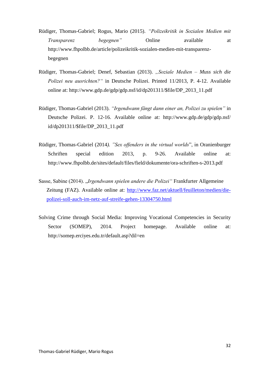- Rüdiger, Thomas-Gabriel; Rogus, Mario (2015). *"Polizeikritik in Sozialen Medien mit Transparenz begegnen"* Online available at http://www.fhpolbb.de/article/polizeikritik-sozialen-medien-mit-transparenzbegegnen
- Rüdiger, Thomas-Gabriel; Denef, Sebastian (2013). *"Soziale Medien – Muss sich die Polizei neu ausrichten?"* in Deutsche Polizei. Printed 11/2013, P. 4-12. Available online at: [http://www.gdp.de/gdp/gdp.nsf/id/dp201311/\\$file/DP\\_2013\\_11.pdf](http://www.gdp.de/gdp/gdp.nsf/id/dp201311/$file/DP_2013_11.pdf)
- Rüdiger, Thomas-Gabriel (2013). *"Irgendwann fängt dann einer an, Polizei zu spielen"* in Deutsche Polizei. P. 12-16. Available online at: [http://www.gdp.de/gdp/gdp.nsf/](http://www.gdp.de/gdp/gdp.nsf/id/dp201311/$file/DP_2013_11.pdf)  [id/dp201311/\\$file/DP\\_2013\\_11.pdf](http://www.gdp.de/gdp/gdp.nsf/id/dp201311/$file/DP_2013_11.pdf)
- Rüdiger, Thomas-Gabriel (2014*). "Sex offenders in the virtual worlds*", in Oranienburger Schriften special edition 2013, p. 9-26. Available online at: http://www.fhpolbb.de/sites/default/files/field/dokumente/ora-schriften-s-2013.pdf
- Sasse, Sabine (2014). "*Irgendwann spielen andere die Polizei"* Frankfurter Allgemeine Zeitung (FAZ). Available online at: [http://www.faz.net/aktuell/feuilleton/medien/die](http://www.faz.net/aktuell/feuilleton/medien/die-polizei-soll-auch-im-netz-auf-streife-gehen-13304750.html)[polizei-soll-auch-im-netz-auf-streife-gehen-13304750.html](http://www.faz.net/aktuell/feuilleton/medien/die-polizei-soll-auch-im-netz-auf-streife-gehen-13304750.html)
- Solving Crime through Social Media: Improving Vocational Competencies in Security Sector (SOMEP), 2014. Project homepage. Available online at: <http://somep.erciyes.edu.tr/default.asp?dil=en>